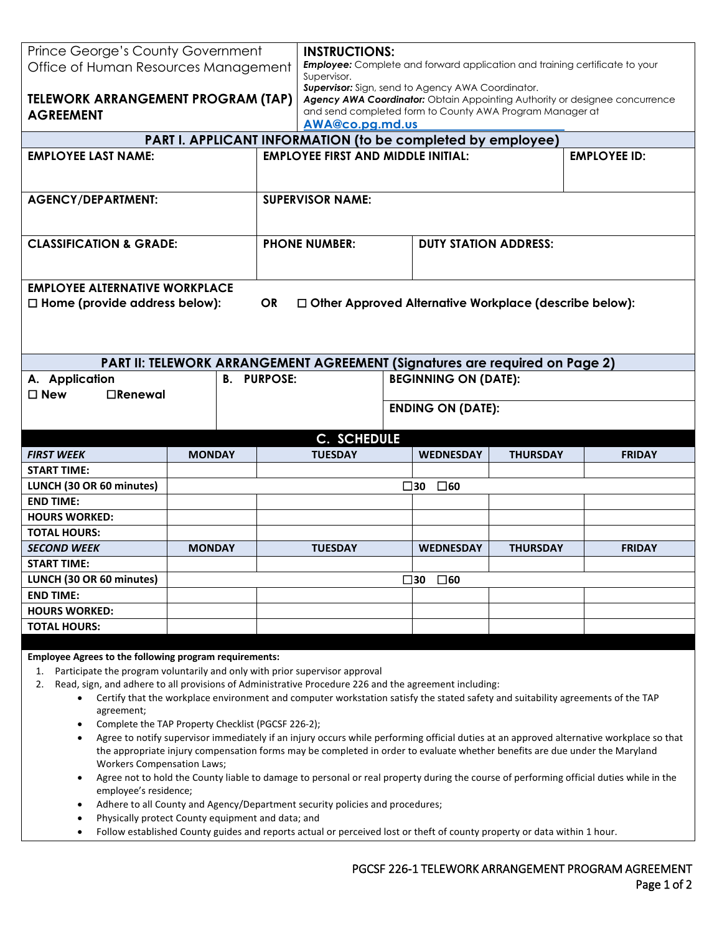| Prince George's County Government                                                                                        |               | <b>INSTRUCTIONS:</b> |                                                                                                   |  |                              |                 |                                                                                                                                 |
|--------------------------------------------------------------------------------------------------------------------------|---------------|----------------------|---------------------------------------------------------------------------------------------------|--|------------------------------|-----------------|---------------------------------------------------------------------------------------------------------------------------------|
| Office of Human Resources Management                                                                                     |               |                      | <b>Employee:</b> Complete and forward application and training certificate to your<br>Supervisor. |  |                              |                 |                                                                                                                                 |
|                                                                                                                          |               |                      | <b>Supervisor:</b> Sign, send to Agency AWA Coordinator.                                          |  |                              |                 |                                                                                                                                 |
| <b>TELEWORK ARRANGEMENT PROGRAM (TAP)</b>                                                                                |               |                      | and send completed form to County AWA Program Manager at                                          |  |                              |                 | Agency AWA Coordinator: Obtain Appointing Authority or designee concurrence                                                     |
| <b>AGREEMENT</b>                                                                                                         |               |                      | AWA@co.pg.md.us                                                                                   |  |                              |                 |                                                                                                                                 |
|                                                                                                                          |               |                      | PART I. APPLICANT INFORMATION (to be completed by employee)                                       |  |                              |                 |                                                                                                                                 |
| <b>EMPLOYEE LAST NAME:</b>                                                                                               |               |                      | <b>EMPLOYEE FIRST AND MIDDLE INITIAL:</b>                                                         |  |                              |                 | <b>EMPLOYEE ID:</b>                                                                                                             |
|                                                                                                                          |               |                      |                                                                                                   |  |                              |                 |                                                                                                                                 |
| <b>AGENCY/DEPARTMENT:</b>                                                                                                |               |                      | <b>SUPERVISOR NAME:</b>                                                                           |  |                              |                 |                                                                                                                                 |
|                                                                                                                          |               |                      |                                                                                                   |  |                              |                 |                                                                                                                                 |
| <b>CLASSIFICATION &amp; GRADE:</b>                                                                                       |               |                      | <b>PHONE NUMBER:</b>                                                                              |  | <b>DUTY STATION ADDRESS:</b> |                 |                                                                                                                                 |
|                                                                                                                          |               |                      |                                                                                                   |  |                              |                 |                                                                                                                                 |
| <b>EMPLOYEE ALTERNATIVE WORKPLACE</b>                                                                                    |               |                      |                                                                                                   |  |                              |                 |                                                                                                                                 |
| $\Box$ Home (provide address below):                                                                                     |               | <b>OR</b>            | $\Box$ Other Approved Alternative Workplace (describe below):                                     |  |                              |                 |                                                                                                                                 |
|                                                                                                                          |               |                      |                                                                                                   |  |                              |                 |                                                                                                                                 |
|                                                                                                                          |               |                      |                                                                                                   |  |                              |                 |                                                                                                                                 |
|                                                                                                                          |               |                      | PART II: TELEWORK ARRANGEMENT AGREEMENT (Signatures are required on Page 2)                       |  |                              |                 |                                                                                                                                 |
| A. Application                                                                                                           |               | <b>B. PURPOSE:</b>   |                                                                                                   |  | <b>BEGINNING ON (DATE):</b>  |                 |                                                                                                                                 |
|                                                                                                                          |               |                      |                                                                                                   |  |                              |                 |                                                                                                                                 |
| $\Box$ Renewal<br>$\Box$ New                                                                                             |               |                      |                                                                                                   |  |                              |                 |                                                                                                                                 |
|                                                                                                                          |               |                      |                                                                                                   |  | <b>ENDING ON (DATE):</b>     |                 |                                                                                                                                 |
|                                                                                                                          |               |                      | C. SCHEDULE                                                                                       |  |                              |                 |                                                                                                                                 |
| <b>FIRST WEEK</b>                                                                                                        | <b>MONDAY</b> |                      | <b>TUESDAY</b>                                                                                    |  | <b>WEDNESDAY</b>             | <b>THURSDAY</b> | <b>FRIDAY</b>                                                                                                                   |
| <b>START TIME:</b>                                                                                                       |               |                      |                                                                                                   |  |                              |                 |                                                                                                                                 |
| LUNCH (30 OR 60 minutes)                                                                                                 |               |                      |                                                                                                   |  | $\square$ 60<br>$\square$ 30 |                 |                                                                                                                                 |
| <b>END TIME:</b>                                                                                                         |               |                      |                                                                                                   |  |                              |                 |                                                                                                                                 |
| <b>HOURS WORKED:</b>                                                                                                     |               |                      |                                                                                                   |  |                              |                 |                                                                                                                                 |
| <b>TOTAL HOURS:</b>                                                                                                      |               |                      |                                                                                                   |  |                              |                 |                                                                                                                                 |
| <b>SECOND WEEK</b>                                                                                                       | <b>MONDAY</b> |                      | <b>TUESDAY</b>                                                                                    |  | <b>WEDNESDAY</b>             | <b>THURSDAY</b> | <b>FRIDAY</b>                                                                                                                   |
| <b>START TIME:</b>                                                                                                       |               |                      |                                                                                                   |  |                              |                 |                                                                                                                                 |
| LUNCH (30 OR 60 minutes)                                                                                                 |               |                      |                                                                                                   |  | $\square$ 60<br>$\square$ 30 |                 |                                                                                                                                 |
| <b>END TIME:</b>                                                                                                         |               |                      |                                                                                                   |  |                              |                 |                                                                                                                                 |
| <b>HOURS WORKED:</b>                                                                                                     |               |                      |                                                                                                   |  |                              |                 |                                                                                                                                 |
| <b>TOTAL HOURS:</b>                                                                                                      |               |                      |                                                                                                   |  |                              |                 |                                                                                                                                 |
|                                                                                                                          |               |                      |                                                                                                   |  |                              |                 |                                                                                                                                 |
| <b>Employee Agrees to the following program requirements:</b>                                                            |               |                      |                                                                                                   |  |                              |                 |                                                                                                                                 |
| Participate the program voluntarily and only with prior supervisor approval<br>1.                                        |               |                      |                                                                                                   |  |                              |                 |                                                                                                                                 |
| Read, sign, and adhere to all provisions of Administrative Procedure 226 and the agreement including:<br>2.<br>$\bullet$ |               |                      |                                                                                                   |  |                              |                 | Certify that the workplace environment and computer workstation satisfy the stated safety and suitability agreements of the TAP |
| agreement;                                                                                                               |               |                      |                                                                                                   |  |                              |                 |                                                                                                                                 |

- Agree to notify supervisor immediately if an injury occurs while performing official duties at an approved alternative workplace so that the appropriate injury compensation forms may be completed in order to evaluate whether benefits are due under the Maryland Workers Compensation Laws;
- Agree not to hold the County liable to damage to personal or real property during the course of performing official duties while in the employee's residence;
- Adhere to all County and Agency/Department security policies and procedures;
- Physically protect County equipment and data; and
- Follow established County guides and reports actual or perceived lost or theft of county property or data within 1 hour.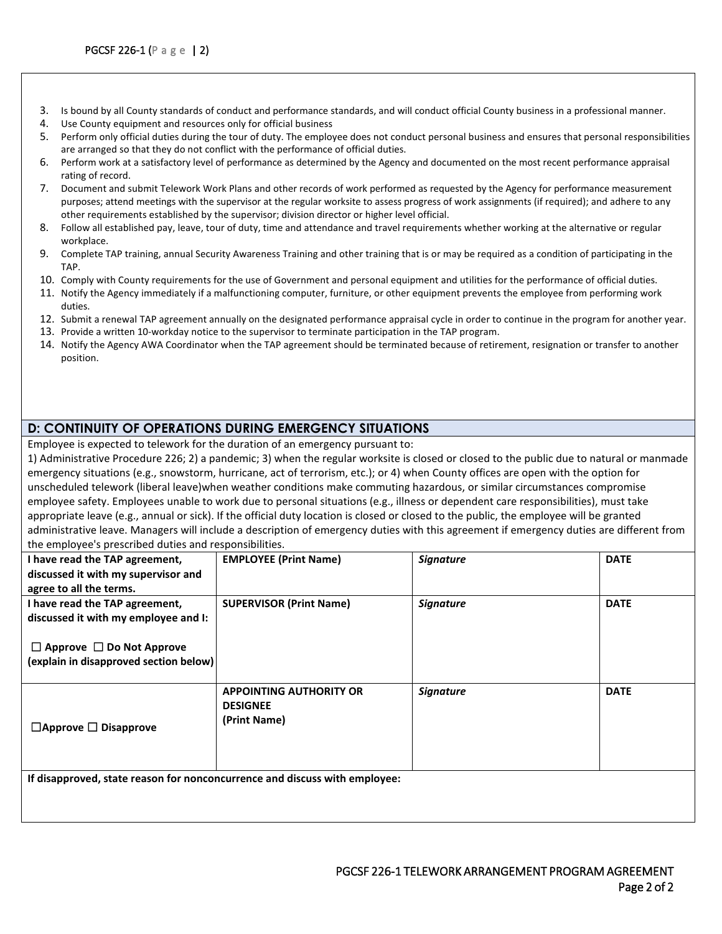- 3. Is bound by all County standards of conduct and performance standards, and will conduct official County business in a professional manner.
- 4. Use County equipment and resources only for official business
- 5. Perform only official duties during the tour of duty. The employee does not conduct personal business and ensures that personal responsibilities are arranged so that they do not conflict with the performance of official duties.
- 6. Perform work at a satisfactory level of performance as determined by the Agency and documented on the most recent performance appraisal rating of record.
- 7. Document and submit Telework Work Plans and other records of work performed as requested by the Agency for performance measurement purposes; attend meetings with the supervisor at the regular worksite to assess progress of work assignments (if required); and adhere to any other requirements established by the supervisor; division director or higher level official.
- 8. Follow all established pay, leave, tour of duty, time and attendance and travel requirements whether working at the alternative or regular workplace.
- 9. Complete TAP training, annual Security Awareness Training and other training that is or may be required as a condition of participating in the TAP.
- 10. Comply with County requirements for the use of Government and personal equipment and utilities for the performance of official duties.
- 11. Notify the Agency immediately if a malfunctioning computer, furniture, or other equipment prevents the employee from performing work duties.
- 12. Submit a renewal TAP agreement annually on the designated performance appraisal cycle in order to continue in the program for another year.
- 13. Provide a written 10-workday notice to the supervisor to terminate participation in the TAP program.
- 14. Notify the Agency AWA Coordinator when the TAP agreement should be terminated because of retirement, resignation or transfer to another position.

## **D: CONTINUITY OF OPERATIONS DURING EMERGENCY SITUATIONS**

Employee is expected to telework for the duration of an emergency pursuant to:

1) Administrative Procedure 226; 2) a pandemic; 3) when the regular worksite is closed or closed to the public due to natural or manmade emergency situations (e.g., snowstorm, hurricane, act of terrorism, etc.); or 4) when County offices are open with the option for unscheduled telework (liberal leave)when weather conditions make commuting hazardous, or similar circumstances compromise employee safety. Employees unable to work due to personal situations (e.g., illness or dependent care responsibilities), must take appropriate leave (e.g., annual or sick). If the official duty location is closed or closed to the public, the employee will be granted administrative leave. Managers will include a description of emergency duties with this agreement if emergency duties are different from the employee's prescribed duties and responsibilities.

| I have read the TAP agreement,                                             | <b>EMPLOYEE (Print Name)</b>   | <b>Signature</b> | <b>DATE</b> |
|----------------------------------------------------------------------------|--------------------------------|------------------|-------------|
| discussed it with my supervisor and                                        |                                |                  |             |
| agree to all the terms.                                                    |                                |                  |             |
| I have read the TAP agreement,                                             | <b>SUPERVISOR (Print Name)</b> | <b>Signature</b> | <b>DATE</b> |
| discussed it with my employee and I:                                       |                                |                  |             |
|                                                                            |                                |                  |             |
| $\Box$ Approve $\Box$ Do Not Approve                                       |                                |                  |             |
| (explain in disapproved section below)                                     |                                |                  |             |
|                                                                            |                                |                  |             |
|                                                                            | <b>APPOINTING AUTHORITY OR</b> | <b>Signature</b> | <b>DATE</b> |
|                                                                            | <b>DESIGNEE</b>                |                  |             |
| $\Box$ Approve $\Box$ Disapprove                                           | (Print Name)                   |                  |             |
|                                                                            |                                |                  |             |
|                                                                            |                                |                  |             |
|                                                                            |                                |                  |             |
| If disapproved, state reason for nonconcurrence and discuss with employee: |                                |                  |             |
|                                                                            |                                |                  |             |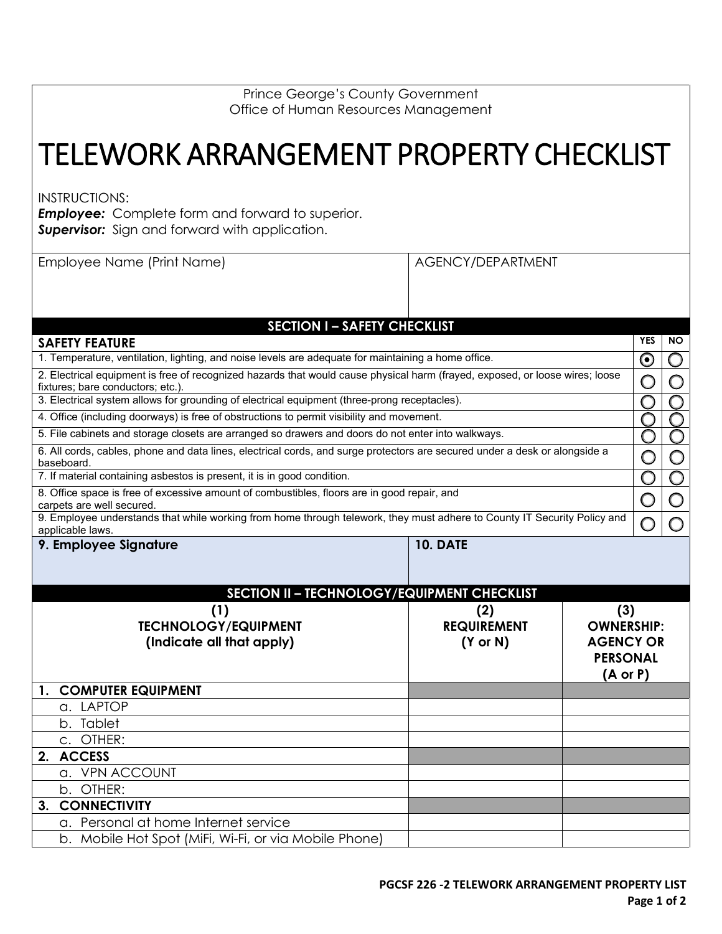| <b>Prince George's County Government</b> |
|------------------------------------------|
| Office of Human Resources Management     |

## TELEWORK ARRANGEMENT PROPERTY CHECKLIST

INSTRUCTIONS:

**Employee:** Complete form and forward to superior. **Supervisor:** Sign and forward with application.

| Employee Name (Print Name)                                                                                                               |                                                                                                                              | AGENCY/DEPARTMENT                                  |                     |                         |                         |
|------------------------------------------------------------------------------------------------------------------------------------------|------------------------------------------------------------------------------------------------------------------------------|----------------------------------------------------|---------------------|-------------------------|-------------------------|
|                                                                                                                                          |                                                                                                                              |                                                    |                     |                         |                         |
|                                                                                                                                          |                                                                                                                              |                                                    |                     |                         |                         |
|                                                                                                                                          | <b>SECTION I - SAFETY CHECKLIST</b>                                                                                          |                                                    |                     |                         |                         |
| <b>SAFETY FEATURE</b>                                                                                                                    |                                                                                                                              |                                                    |                     | <b>YES</b>              | <b>NO</b>               |
|                                                                                                                                          | 1. Temperature, ventilation, lighting, and noise levels are adequate for maintaining a home office.                          |                                                    |                     | $\boldsymbol{\odot}$    | O                       |
| fixtures; bare conductors; etc.).                                                                                                        | 2. Electrical equipment is free of recognized hazards that would cause physical harm (frayed, exposed, or loose wires; loose |                                                    |                     | $\bigcirc$              | $\bigcirc$              |
|                                                                                                                                          | 3. Electrical system allows for grounding of electrical equipment (three-prong receptacles).                                 |                                                    |                     | O                       |                         |
|                                                                                                                                          | 4. Office (including doorways) is free of obstructions to permit visibility and movement.                                    |                                                    |                     |                         |                         |
|                                                                                                                                          | 5. File cabinets and storage closets are arranged so drawers and doors do not enter into walkways.                           |                                                    |                     | O                       | O                       |
| 6. All cords, cables, phone and data lines, electrical cords, and surge protectors are secured under a desk or alongside a<br>baseboard. |                                                                                                                              |                                                    |                     |                         | $\bigcirc$              |
|                                                                                                                                          | 7. If material containing asbestos is present, it is in good condition.                                                      |                                                    |                     | $\overline{\mathsf{O}}$ | $\overline{\mathsf{O}}$ |
| 8. Office space is free of excessive amount of combustibles, floors are in good repair, and<br>carpets are well secured.                 |                                                                                                                              |                                                    |                     |                         | O                       |
| applicable laws.                                                                                                                         | 9. Employee understands that while working from home through telework, they must adhere to County IT Security Policy and     |                                                    |                     | $\bigcirc$              | O                       |
| 9. Employee Signature                                                                                                                    |                                                                                                                              | <b>10. DATE</b>                                    |                     |                         |                         |
|                                                                                                                                          |                                                                                                                              |                                                    |                     |                         |                         |
|                                                                                                                                          |                                                                                                                              |                                                    |                     |                         |                         |
|                                                                                                                                          |                                                                                                                              | <b>SECTION II - TECHNOLOGY/EQUIPMENT CHECKLIST</b> |                     |                         |                         |
|                                                                                                                                          | (1)                                                                                                                          | (2)                                                | (3)                 |                         |                         |
|                                                                                                                                          | <b>TECHNOLOGY/EQUIPMENT</b>                                                                                                  | <b>REQUIREMENT</b>                                 | <b>OWNERSHIP:</b>   |                         |                         |
|                                                                                                                                          | (Indicate all that apply)                                                                                                    | $(Y \text{ or } N)$                                | <b>AGENCY OR</b>    |                         |                         |
|                                                                                                                                          |                                                                                                                              |                                                    | <b>PERSONAL</b>     |                         |                         |
| <b>COMPUTER EQUIPMENT</b><br>1.                                                                                                          |                                                                                                                              |                                                    | $(A \text{ or } P)$ |                         |                         |
| a. LAPTOP                                                                                                                                |                                                                                                                              |                                                    |                     |                         |                         |
| b. Tablet                                                                                                                                |                                                                                                                              |                                                    |                     |                         |                         |
|                                                                                                                                          |                                                                                                                              |                                                    |                     |                         |                         |
|                                                                                                                                          |                                                                                                                              |                                                    |                     |                         |                         |
| c. OTHER:                                                                                                                                |                                                                                                                              |                                                    |                     |                         |                         |
| <b>ACCESS</b><br>2.                                                                                                                      |                                                                                                                              |                                                    |                     |                         |                         |
| a. VPN ACCOUNT                                                                                                                           |                                                                                                                              |                                                    |                     |                         |                         |
| b. OTHER:<br><b>CONNECTIVITY</b><br>3.                                                                                                   |                                                                                                                              |                                                    |                     |                         |                         |
|                                                                                                                                          | a. Personal at home Internet service                                                                                         |                                                    |                     |                         |                         |